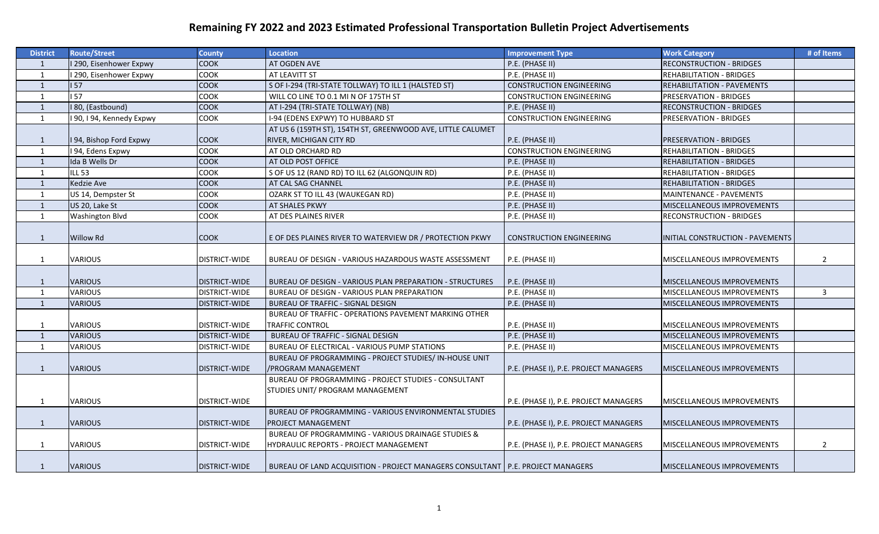| <b>District</b> | <b>Route/Street</b>     | <b>County</b>        | <b>Location</b>                                                                  | <b>Improvement Type</b>               | <b>Work Category</b>             | # of Items     |
|-----------------|-------------------------|----------------------|----------------------------------------------------------------------------------|---------------------------------------|----------------------------------|----------------|
| 1               | 290, Eisenhower Expwy   | <b>COOK</b>          | AT OGDEN AVE                                                                     | P.E. (PHASE II)                       | <b>RECONSTRUCTION - BRIDGES</b>  |                |
| 1               | 290, Eisenhower Expwy   | COOK                 | AT LEAVITT ST                                                                    | P.E. (PHASE II)                       | REHABILITATION - BRIDGES         |                |
| 1               | 57                      | <b>COOK</b>          | S OF I-294 (TRI-STATE TOLLWAY) TO ILL 1 (HALSTED ST)                             | <b>CONSTRUCTION ENGINEERING</b>       | REHABILITATION - PAVEMENTS       |                |
| $\mathbf{1}$    | 57                      | COOK                 | WILL CO LINE TO 0.1 MI N OF 175TH ST                                             | <b>CONSTRUCTION ENGINEERING</b>       | PRESERVATION - BRIDGES           |                |
| $\mathbf{1}$    | 80, (Eastbound)         | COOK                 | AT I-294 (TRI-STATE TOLLWAY) (NB)                                                | P.E. (PHASE II)                       | <b>RECONSTRUCTION - BRIDGES</b>  |                |
| $\mathbf{1}$    | 90, I 94, Kennedy Expwy | COOK                 | I-94 (EDENS EXPWY) TO HUBBARD ST                                                 | <b>CONSTRUCTION ENGINEERING</b>       | PRESERVATION - BRIDGES           |                |
|                 |                         |                      | AT US 6 (159TH ST), 154TH ST, GREENWOOD AVE, LITTLE CALUMET                      |                                       |                                  |                |
| 1               | 94, Bishop Ford Expwy   | COOK                 | RIVER, MICHIGAN CITY RD                                                          | P.E. (PHASE II)                       | PRESERVATION - BRIDGES           |                |
| 1               | 94, Edens Expwy         | COOK                 | AT OLD ORCHARD RD                                                                | <b>CONSTRUCTION ENGINEERING</b>       | <b>REHABILITATION - BRIDGES</b>  |                |
| $\mathbf{1}$    | Ida B Wells Dr          | COOK                 | AT OLD POST OFFICE                                                               | P.E. (PHASE II)                       | <b>REHABILITATION - BRIDGES</b>  |                |
| 1               | <b>ILL 53</b>           | COOK                 | S OF US 12 (RAND RD) TO ILL 62 (ALGONQUIN RD)                                    | P.E. (PHASE II)                       | REHABILITATION - BRIDGES         |                |
| 1               | Kedzie Ave              | COOK                 | AT CAL SAG CHANNEL                                                               | P.E. (PHASE II)                       | REHABILITATION - BRIDGES         |                |
| 1               | US 14, Dempster St      | COOK                 | OZARK ST TO ILL 43 (WAUKEGAN RD)                                                 | P.E. (PHASE II)                       | MAINTENANCE - PAVEMENTS          |                |
| $\mathbf{1}$    | US 20, Lake St          | COOK                 | AT SHALES PKWY                                                                   | P.E. (PHASE II)                       | MISCELLANEOUS IMPROVEMENTS       |                |
| $\mathbf{1}$    | Washington Blvd         | COOK                 | AT DES PLAINES RIVER                                                             | P.E. (PHASE II)                       | RECONSTRUCTION - BRIDGES         |                |
|                 |                         |                      |                                                                                  |                                       |                                  |                |
| 1               | <b>Willow Rd</b>        | <b>COOK</b>          | E OF DES PLAINES RIVER TO WATERVIEW DR / PROTECTION PKWY                         | <b>CONSTRUCTION ENGINEERING</b>       | INITIAL CONSTRUCTION - PAVEMENTS |                |
|                 |                         |                      |                                                                                  |                                       |                                  |                |
| $\mathbf{1}$    | <b>VARIOUS</b>          | DISTRICT-WIDE        | BUREAU OF DESIGN - VARIOUS HAZARDOUS WASTE ASSESSMENT                            | P.E. (PHASE II)                       | MISCELLANEOUS IMPROVEMENTS       | $\overline{2}$ |
|                 |                         |                      |                                                                                  |                                       |                                  |                |
| $\mathbf{1}$    | <b>VARIOUS</b>          | DISTRICT-WIDE        | BUREAU OF DESIGN - VARIOUS PLAN PREPARATION - STRUCTURES                         | P.E. (PHASE II)                       | MISCELLANEOUS IMPROVEMENTS       |                |
| $\mathbf{1}$    | <b>VARIOUS</b>          | DISTRICT-WIDE        | BUREAU OF DESIGN - VARIOUS PLAN PREPARATION                                      | P.E. (PHASE II)                       | MISCELLANEOUS IMPROVEMENTS       | $\mathbf{3}$   |
| 1               | <b>VARIOUS</b>          | DISTRICT-WIDE        | BUREAU OF TRAFFIC - SIGNAL DESIGN                                                | P.E. (PHASE II)                       | MISCELLANEOUS IMPROVEMENTS       |                |
|                 |                         |                      | BUREAU OF TRAFFIC - OPERATIONS PAVEMENT MARKING OTHER                            |                                       |                                  |                |
| 1               | <b>VARIOUS</b>          | DISTRICT-WIDE        | <b>TRAFFIC CONTROL</b>                                                           | P.E. (PHASE II)                       | MISCELLANEOUS IMPROVEMENTS       |                |
| 1               | <b>VARIOUS</b>          | <b>DISTRICT-WIDE</b> | <b>BUREAU OF TRAFFIC - SIGNAL DESIGN</b>                                         | P.E. (PHASE II)                       | MISCELLANEOUS IMPROVEMENTS       |                |
| 1               | <b>VARIOUS</b>          | DISTRICT-WIDE        | BUREAU OF ELECTRICAL - VARIOUS PUMP STATIONS                                     | P.E. (PHASE II)                       | MISCELLANEOUS IMPROVEMENTS       |                |
|                 |                         |                      | BUREAU OF PROGRAMMING - PROJECT STUDIES/ IN-HOUSE UNIT                           |                                       |                                  |                |
| $\mathbf{1}$    | <b>VARIOUS</b>          | DISTRICT-WIDE        | /PROGRAM MANAGEMENT                                                              | P.E. (PHASE I), P.E. PROJECT MANAGERS | MISCELLANEOUS IMPROVEMENTS       |                |
|                 |                         |                      | BUREAU OF PROGRAMMING - PROJECT STUDIES - CONSULTANT                             |                                       |                                  |                |
|                 |                         |                      | STUDIES UNIT/ PROGRAM MANAGEMENT                                                 |                                       |                                  |                |
| $\mathbf{1}$    | <b>VARIOUS</b>          | <b>DISTRICT-WIDE</b> |                                                                                  | P.E. (PHASE I), P.E. PROJECT MANAGERS | MISCELLANEOUS IMPROVEMENTS       |                |
|                 |                         |                      | BUREAU OF PROGRAMMING - VARIOUS ENVIRONMENTAL STUDIES                            |                                       |                                  |                |
| $\mathbf{1}$    | <b>VARIOUS</b>          | DISTRICT-WIDE        | PROJECT MANAGEMENT                                                               | P.E. (PHASE I), P.E. PROJECT MANAGERS | MISCELLANEOUS IMPROVEMENTS       |                |
|                 |                         |                      | BUREAU OF PROGRAMMING - VARIOUS DRAINAGE STUDIES &                               |                                       |                                  |                |
| 1               | <b>VARIOUS</b>          | DISTRICT-WIDE        | <b>HYDRAULIC REPORTS - PROJECT MANAGEMENT</b>                                    | P.E. (PHASE I), P.E. PROJECT MANAGERS | MISCELLANEOUS IMPROVEMENTS       | $\overline{2}$ |
|                 |                         |                      |                                                                                  |                                       |                                  |                |
| $\mathbf{1}$    | <b>VARIOUS</b>          | <b>DISTRICT-WIDE</b> | BUREAU OF LAND ACQUISITION - PROJECT MANAGERS CONSULTANT   P.E. PROJECT MANAGERS |                                       | MISCELLANEOUS IMPROVEMENTS       |                |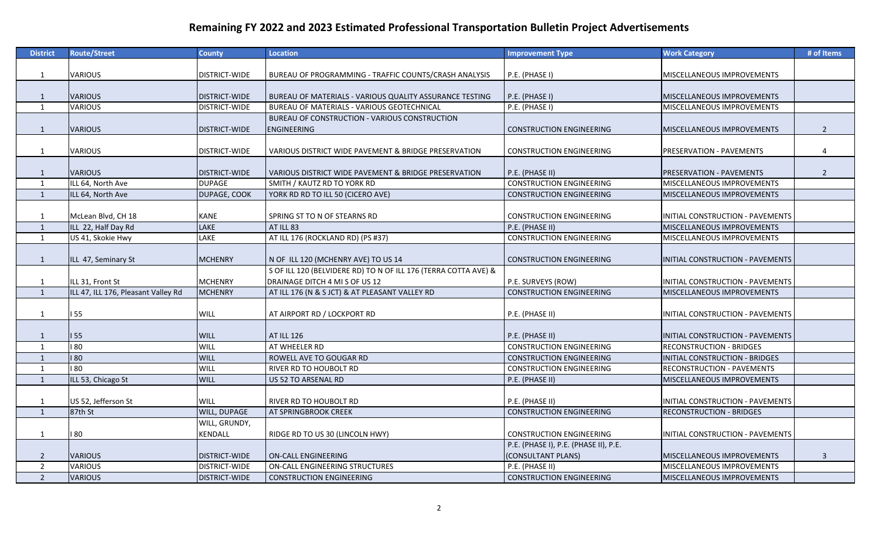| <b>District</b> | <b>Route/Street</b>                    | <b>County</b>                 | <b>Location</b>                                                  | <b>Improvement Type</b>                                            | <b>Work Category</b>                                     | # of Items     |
|-----------------|----------------------------------------|-------------------------------|------------------------------------------------------------------|--------------------------------------------------------------------|----------------------------------------------------------|----------------|
|                 |                                        |                               |                                                                  |                                                                    |                                                          |                |
| $\mathbf{1}$    | <b>VARIOUS</b>                         | <b>DISTRICT-WIDE</b>          | BUREAU OF PROGRAMMING - TRAFFIC COUNTS/CRASH ANALYSIS            | P.E. (PHASE I)                                                     | MISCELLANEOUS IMPROVEMENTS                               |                |
|                 |                                        |                               |                                                                  |                                                                    |                                                          |                |
| 1               | <b>VARIOUS</b>                         | <b>DISTRICT-WIDE</b>          | BUREAU OF MATERIALS - VARIOUS QUALITY ASSURANCE TESTING          | P.E. (PHASE I)                                                     | MISCELLANEOUS IMPROVEMENTS                               |                |
| $\mathbf{1}$    | <b>VARIOUS</b>                         | <b>DISTRICT-WIDE</b>          | BUREAU OF MATERIALS - VARIOUS GEOTECHNICAL                       | P.E. (PHASE I)                                                     | MISCELLANEOUS IMPROVEMENTS                               |                |
|                 |                                        |                               | BUREAU OF CONSTRUCTION - VARIOUS CONSTRUCTION                    |                                                                    |                                                          |                |
| 1               | <b>VARIOUS</b>                         | <b>DISTRICT-WIDE</b>          | <b>ENGINEERING</b>                                               | <b>CONSTRUCTION ENGINEERING</b>                                    | <b>MISCELLANEOUS IMPROVEMENTS</b>                        | $\overline{2}$ |
|                 |                                        |                               |                                                                  |                                                                    |                                                          |                |
| $\mathbf{1}$    | <b>VARIOUS</b>                         | <b>DISTRICT-WIDE</b>          | VARIOUS DISTRICT WIDE PAVEMENT & BRIDGE PRESERVATION             | <b>CONSTRUCTION ENGINEERING</b>                                    | <b>PRESERVATION - PAVEMENTS</b>                          | 4              |
|                 |                                        |                               |                                                                  |                                                                    |                                                          |                |
| 1               | <b>VARIOUS</b>                         | <b>DISTRICT-WIDE</b>          | VARIOUS DISTRICT WIDE PAVEMENT & BRIDGE PRESERVATION             | P.E. (PHASE II)                                                    | <b>PRESERVATION - PAVEMENTS</b>                          | $\overline{2}$ |
| 1               | ILL 64, North Ave<br>ILL 64, North Ave | <b>DUPAGE</b><br>DUPAGE, COOK | SMITH / KAUTZ RD TO YORK RD<br>YORK RD RD TO ILL 50 (CICERO AVE) | <b>CONSTRUCTION ENGINEERING</b><br><b>CONSTRUCTION ENGINEERING</b> | MISCELLANEOUS IMPROVEMENTS<br>MISCELLANEOUS IMPROVEMENTS |                |
| 1               |                                        |                               |                                                                  |                                                                    |                                                          |                |
| $\mathbf{1}$    | McLean Blvd, CH 18                     | <b>KANE</b>                   | SPRING ST TO N OF STEARNS RD                                     | <b>CONSTRUCTION ENGINEERING</b>                                    | INITIAL CONSTRUCTION - PAVEMENTS                         |                |
| 1               | ILL 22, Half Day Rd                    | LAKE                          | AT ILL 83                                                        | P.E. (PHASE II)                                                    | MISCELLANEOUS IMPROVEMENTS                               |                |
| 1               | US 41, Skokie Hwy                      | <b>LAKE</b>                   | AT ILL 176 (ROCKLAND RD) (PS #37)                                | <b>CONSTRUCTION ENGINEERING</b>                                    | MISCELLANEOUS IMPROVEMENTS                               |                |
|                 |                                        |                               |                                                                  |                                                                    |                                                          |                |
| 1               | ILL 47, Seminary St                    | <b>MCHENRY</b>                | N OF ILL 120 (MCHENRY AVE) TO US 14                              | <b>CONSTRUCTION ENGINEERING</b>                                    | INITIAL CONSTRUCTION - PAVEMENTS                         |                |
|                 |                                        |                               | S OF ILL 120 (BELVIDERE RD) TO N OF ILL 176 (TERRA COTTA AVE) &  |                                                                    |                                                          |                |
| 1               | ILL 31, Front St                       | <b>MCHENRY</b>                | DRAINAGE DITCH 4 MI S OF US 12                                   | P.E. SURVEYS (ROW)                                                 | INITIAL CONSTRUCTION - PAVEMENTS                         |                |
| $\mathbf{1}$    | ILL 47, ILL 176, Pleasant Valley Rd    | <b>MCHENRY</b>                | AT ILL 176 (N & S JCT) & AT PLEASANT VALLEY RD                   | <b>CONSTRUCTION ENGINEERING</b>                                    | MISCELLANEOUS IMPROVEMENTS                               |                |
|                 |                                        |                               |                                                                  |                                                                    |                                                          |                |
| $\mathbf{1}$    | 155                                    | <b>WILL</b>                   | AT AIRPORT RD / LOCKPORT RD                                      | P.E. (PHASE II)                                                    | INITIAL CONSTRUCTION - PAVEMENTS                         |                |
|                 |                                        |                               |                                                                  |                                                                    |                                                          |                |
| 1               | 155                                    | <b>WILL</b>                   | <b>AT ILL 126</b>                                                | P.E. (PHASE II)                                                    | INITIAL CONSTRUCTION - PAVEMENTS                         |                |
| $\mathbf{1}$    | 180                                    | <b>WILL</b>                   | AT WHEELER RD                                                    | <b>CONSTRUCTION ENGINEERING</b>                                    | <b>RECONSTRUCTION - BRIDGES</b>                          |                |
| 1               | 180                                    | <b>WILL</b>                   | ROWELL AVE TO GOUGAR RD                                          | <b>CONSTRUCTION ENGINEERING</b>                                    | INITIAL CONSTRUCTION - BRIDGES                           |                |
| 1               | 180                                    | <b>WILL</b>                   | RIVER RD TO HOUBOLT RD                                           | <b>CONSTRUCTION ENGINEERING</b>                                    | RECONSTRUCTION - PAVEMENTS                               |                |
| $\mathbf{1}$    | ILL 53, Chicago St                     | <b>WILL</b>                   | US 52 TO ARSENAL RD                                              | P.E. (PHASE II)                                                    | MISCELLANEOUS IMPROVEMENTS                               |                |
|                 |                                        |                               |                                                                  |                                                                    |                                                          |                |
| 1               | US 52, Jefferson St                    | <b>WILL</b>                   | RIVER RD TO HOUBOLT RD                                           | P.E. (PHASE II)                                                    | INITIAL CONSTRUCTION - PAVEMENTS                         |                |
| 1               | 87th St                                | WILL, DUPAGE                  | AT SPRINGBROOK CREEK                                             | <b>CONSTRUCTION ENGINEERING</b>                                    | <b>RECONSTRUCTION - BRIDGES</b>                          |                |
|                 |                                        | WILL, GRUNDY,                 |                                                                  |                                                                    |                                                          |                |
| $\mathbf{1}$    | 180                                    | <b>KENDALL</b>                | RIDGE RD TO US 30 (LINCOLN HWY)                                  | <b>CONSTRUCTION ENGINEERING</b>                                    | INITIAL CONSTRUCTION - PAVEMENTS                         |                |
|                 |                                        |                               |                                                                  | P.E. (PHASE I), P.E. (PHASE II), P.E.                              |                                                          |                |
| 2               | <b>VARIOUS</b>                         | <b>DISTRICT-WIDE</b>          | ON-CALL ENGINEERING                                              | (CONSULTANT PLANS)                                                 | MISCELLANEOUS IMPROVEMENTS                               | $\mathbf{3}$   |
| $\overline{2}$  | VARIOUS                                | <b>DISTRICT-WIDE</b>          | ON-CALL ENGINEERING STRUCTURES                                   | P.E. (PHASE II)                                                    | MISCELLANEOUS IMPROVEMENTS                               |                |
| $\overline{2}$  | <b>VARIOUS</b>                         | <b>DISTRICT-WIDE</b>          | <b>CONSTRUCTION ENGINEERING</b>                                  | <b>CONSTRUCTION ENGINEERING</b>                                    | MISCELLANEOUS IMPROVEMENTS                               |                |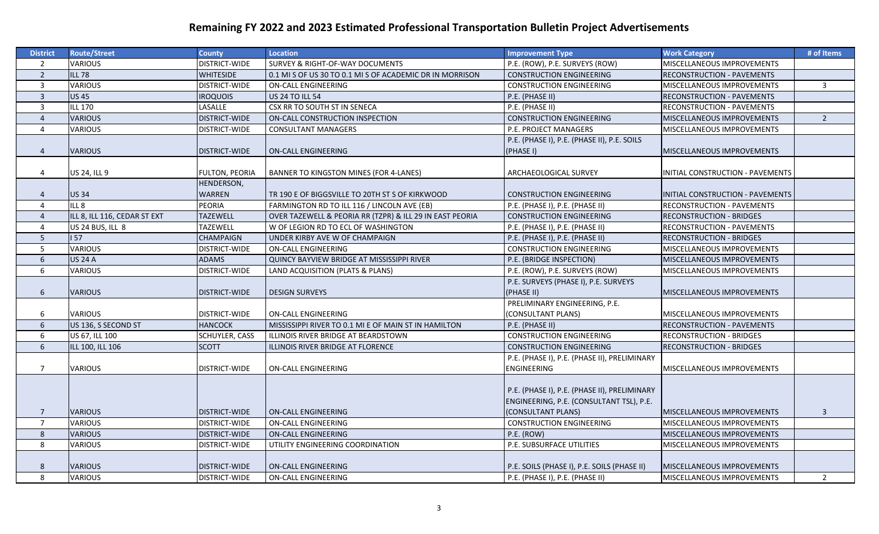| <b>District</b> | <b>Route/Street</b>          | <b>County</b>                         | <b>Location</b>                                          | <b>Improvement Type</b>                                                                                        | <b>Work Category</b>                                     | # of Items     |
|-----------------|------------------------------|---------------------------------------|----------------------------------------------------------|----------------------------------------------------------------------------------------------------------------|----------------------------------------------------------|----------------|
| $\overline{2}$  | <b>VARIOUS</b>               | <b>DISTRICT-WIDE</b>                  | SURVEY & RIGHT-OF-WAY DOCUMENTS                          | P.E. (ROW), P.E. SURVEYS (ROW)                                                                                 | MISCELLANEOUS IMPROVEMENTS                               |                |
| $\overline{2}$  | <b>ILL 78</b>                | <b>WHITESIDE</b>                      | 0.1 MI S OF US 30 TO 0.1 MI S OF ACADEMIC DR IN MORRISON | <b>CONSTRUCTION ENGINEERING</b>                                                                                | RECONSTRUCTION - PAVEMENTS                               |                |
| $\overline{3}$  | <b>VARIOUS</b>               | <b>DISTRICT-WIDE</b>                  | ON-CALL ENGINEERING                                      | <b>CONSTRUCTION ENGINEERING</b>                                                                                | MISCELLANEOUS IMPROVEMENTS                               | $\overline{3}$ |
| $\overline{3}$  | <b>US45</b>                  | <b>IROQUOIS</b>                       | <b>US 24 TO ILL 54</b>                                   | P.E. (PHASE II)                                                                                                | RECONSTRUCTION - PAVEMENTS                               |                |
| $\overline{3}$  | <b>ILL 170</b>               | LASALLE                               | CSX RR TO SOUTH ST IN SENECA                             | P.E. (PHASE II)                                                                                                | RECONSTRUCTION - PAVEMENTS                               |                |
| $\overline{4}$  | <b>VARIOUS</b>               | <b>DISTRICT-WIDE</b>                  | ON-CALL CONSTRUCTION INSPECTION                          | <b>CONSTRUCTION ENGINEERING</b>                                                                                | MISCELLANEOUS IMPROVEMENTS                               | $\overline{2}$ |
| $\overline{4}$  | <b>VARIOUS</b>               | DISTRICT-WIDE                         | <b>CONSULTANT MANAGERS</b>                               | P.E. PROJECT MANAGERS                                                                                          | MISCELLANEOUS IMPROVEMENTS                               |                |
| $\overline{4}$  | <b>VARIOUS</b>               | <b>DISTRICT-WIDE</b>                  | <b>ON-CALL ENGINEERING</b>                               | P.E. (PHASE I), P.E. (PHASE II), P.E. SOILS<br>(PHASE I)                                                       | MISCELLANEOUS IMPROVEMENTS                               |                |
| 4               | US 24, ILL 9                 | <b>FULTON, PEORIA</b>                 | BANNER TO KINGSTON MINES (FOR 4-LANES)                   | ARCHAEOLOGICAL SURVEY                                                                                          | INITIAL CONSTRUCTION - PAVEMENTS                         |                |
| $\overline{4}$  | <b>US34</b>                  | HENDERSON,<br>WARREN                  | TR 190 E OF BIGGSVILLE TO 20TH ST S OF KIRKWOOD          | <b>CONSTRUCTION ENGINEERING</b>                                                                                | NITIAL CONSTRUCTION - PAVEMENTS                          |                |
| $\overline{4}$  | ILL 8                        | PEORIA                                | FARMINGTON RD TO ILL 116 / LINCOLN AVE (EB)              | P.E. (PHASE I), P.E. (PHASE II)                                                                                | RECONSTRUCTION - PAVEMENTS                               |                |
| $\overline{4}$  | ILL 8, ILL 116, CEDAR ST EXT | <b>TAZEWELL</b>                       | OVER TAZEWELL & PEORIA RR (TZPR) & ILL 29 IN EAST PEORIA | <b>CONSTRUCTION ENGINEERING</b>                                                                                | <b>RECONSTRUCTION - BRIDGES</b>                          |                |
| $\overline{4}$  | US 24 BUS, ILL 8             | TAZEWELL                              | W OF LEGION RD TO ECL OF WASHINGTON                      | P.E. (PHASE I), P.E. (PHASE II)                                                                                | RECONSTRUCTION - PAVEMENTS                               |                |
| 5               | 157                          | CHAMPAIGN                             | UNDER KIRBY AVE W OF CHAMPAIGN                           | P.E. (PHASE I), P.E. (PHASE II)                                                                                | <b>RECONSTRUCTION - BRIDGES</b>                          |                |
| 5               | <b>VARIOUS</b>               | <b>DISTRICT-WIDE</b>                  | ON-CALL ENGINEERING                                      | <b>CONSTRUCTION ENGINEERING</b>                                                                                | MISCELLANEOUS IMPROVEMENTS                               |                |
| 6               | <b>US 24 A</b>               | <b>ADAMS</b>                          | QUINCY BAYVIEW BRIDGE AT MISSISSIPPI RIVER               | P.E. (BRIDGE INSPECTION)                                                                                       | MISCELLANEOUS IMPROVEMENTS                               |                |
| 6               | <b>VARIOUS</b>               | <b>DISTRICT-WIDE</b>                  | LAND ACQUISITION (PLATS & PLANS)                         | P.E. (ROW), P.E. SURVEYS (ROW)                                                                                 | MISCELLANEOUS IMPROVEMENTS                               |                |
|                 |                              |                                       |                                                          | P.E. SURVEYS (PHASE I), P.E. SURVEYS                                                                           |                                                          |                |
| 6               | <b>VARIOUS</b>               | DISTRICT-WIDE                         | <b>DESIGN SURVEYS</b>                                    | (PHASE II)                                                                                                     | MISCELLANEOUS IMPROVEMENTS                               |                |
|                 |                              |                                       |                                                          | PRELIMINARY ENGINEERING, P.E.                                                                                  |                                                          |                |
| 6               | <b>VARIOUS</b>               | <b>DISTRICT-WIDE</b>                  | ON-CALL ENGINEERING                                      | (CONSULTANT PLANS)                                                                                             | MISCELLANEOUS IMPROVEMENTS                               |                |
| 6               | US 136, S SECOND ST          | <b>HANCOCK</b>                        | MISSISSIPPI RIVER TO 0.1 MI E OF MAIN ST IN HAMILTON     | P.E. (PHASE II)                                                                                                | RECONSTRUCTION - PAVEMENTS                               |                |
| 6               | US 67, ILL 100               | SCHUYLER, CASS                        | ILLINOIS RIVER BRIDGE AT BEARDSTOWN                      | <b>CONSTRUCTION ENGINEERING</b>                                                                                | RECONSTRUCTION - BRIDGES                                 |                |
| $6\phantom{a}$  | ILL 100, ILL 106             | <b>SCOTT</b>                          | ILLINOIS RIVER BRIDGE AT FLORENCE                        | <b>CONSTRUCTION ENGINEERING</b>                                                                                | RECONSTRUCTION - BRIDGES                                 |                |
|                 |                              |                                       |                                                          | P.E. (PHASE I), P.E. (PHASE II), PRELIMINARY                                                                   |                                                          |                |
| $\overline{7}$  | <b>VARIOUS</b>               | DISTRICT-WIDE                         | ON-CALL ENGINEERING                                      | ENGINEERING                                                                                                    | MISCELLANEOUS IMPROVEMENTS                               |                |
| $\overline{7}$  | <b>VARIOUS</b>               | <b>DISTRICT-WIDE</b>                  |                                                          | P.E. (PHASE I), P.E. (PHASE II), PRELIMINARY<br>ENGINEERING, P.E. (CONSULTANT TSL), P.E.<br>(CONSULTANT PLANS) |                                                          |                |
| $\overline{7}$  | <b>VARIOUS</b>               |                                       | <b>ON-CALL ENGINEERING</b>                               |                                                                                                                | MISCELLANEOUS IMPROVEMENTS                               | $\mathbf{3}$   |
| 8               | <b>VARIOUS</b>               | DISTRICT-WIDE<br><b>DISTRICT-WIDE</b> | ON-CALL ENGINEERING<br><b>ON-CALL ENGINEERING</b>        | <b>CONSTRUCTION ENGINEERING</b>                                                                                | MISCELLANEOUS IMPROVEMENTS<br>MISCELLANEOUS IMPROVEMENTS |                |
|                 |                              |                                       |                                                          | P.E. (ROW)<br>P.E. SUBSURFACE UTILITIES                                                                        |                                                          |                |
| 8               | <b>VARIOUS</b>               | <b>DISTRICT-WIDE</b>                  | UTILITY ENGINEERING COORDINATION                         |                                                                                                                | MISCELLANEOUS IMPROVEMENTS                               |                |
| 8               | <b>VARIOUS</b>               | DISTRICT-WIDE                         | <b>ON-CALL ENGINEERING</b>                               | P.E. SOILS (PHASE I), P.E. SOILS (PHASE II)                                                                    | MISCELLANEOUS IMPROVEMENTS                               |                |
| 8               | <b>VARIOUS</b>               | <b>DISTRICT-WIDE</b>                  | ON-CALL ENGINEERING                                      | P.E. (PHASE I), P.E. (PHASE II)                                                                                | MISCELLANEOUS IMPROVEMENTS                               | $\overline{2}$ |